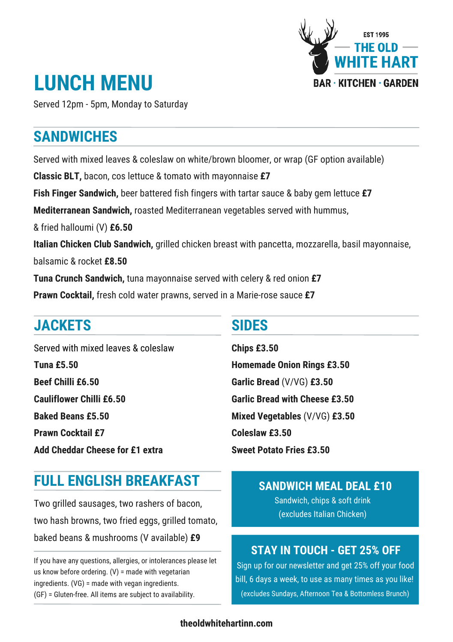

# **LUNCH MENU**

Served 12pm - 5pm, Monday to Saturday

# **SANDWICHES**

Served with mixed leaves & coleslaw on white/brown bloomer, or wrap (GF option available) **Classic BLT,** bacon, cos lettuce & tomato with mayonnaise **£7 Fish Finger Sandwich,** beer battered fish fingers with tartar sauce & baby gem lettuce **£7 Mediterranean Sandwich,** roasted Mediterranean vegetables served with hummus, & fried halloumi (V) **£6.50 Italian Chicken Club Sandwich,** grilled chicken breast with pancetta, mozzarella, basil mayonnaise, balsamic & rocket **£8.50 Tuna Crunch Sandwich,** tuna mayonnaise served with celery & red onion **£7 Prawn Cocktail,** fresh cold water prawns, served in a Marie-rose sauce **£7**

# **JACKETS**

Served with mixed leaves & coleslaw **Tuna £5.50 Beef Chilli £6.50 Cauliflower Chilli £6.50 Baked Beans £5.50 Prawn Cocktail £7 Add Cheddar Cheese for £1 extra**

#### **SIDES**

**Chips £3.50 Homemade Onion Rings £3.50 Garlic Bread** (V/VG) **£3.50 Garlic Bread with Cheese £3.50 Mixed Vegetables** (V/VG) **£3.50 Coleslaw £3.50 Sweet Potato Fries £3.50**

# **FULL ENGLISH BREAKFAST**

Two grilled sausages, two rashers of bacon, two hash browns, two fried eggs, grilled tomato, baked beans & mushrooms (V available) **£9**

If you have any questions, allergies, or intolerances please let us know before ordering. (V) = made with vegetarian ingredients. (VG) = made with vegan ingredients. (GF) = Gluten-free. All items are subject to availability.

#### **SANDWICH MEAL DEAL £10**

Sandwich, chips & soft drink (excludes Italian Chicken)

# **STAY IN TOUCH - GET 25% OFF**

Sign up for our newsletter and get 25% off your food bill, 6 days a week, to use as many times as you like! (excludes Sundays, Afternoon Tea & Bottomless Brunch)